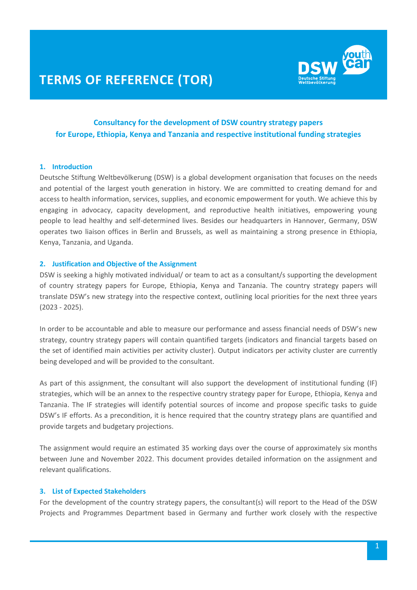

## **Consultancy for the development of DSW country strategy papers for Europe, Ethiopia, Kenya and Tanzania and respective institutional funding strategies**

## **1. Introduction**

Deutsche Stiftung Weltbevölkerung (DSW) is a global development organisation that focuses on the needs and potential of the largest youth generation in history. We are committed to creating demand for and access to health information, services, supplies, and economic empowerment for youth. We achieve this by engaging in advocacy, capacity development, and reproductive health initiatives, empowering young people to lead healthy and self-determined lives. Besides our headquarters in Hannover, Germany, DSW operates two liaison offices in Berlin and Brussels, as well as maintaining a strong presence in Ethiopia, Kenya, Tanzania, and Uganda.

#### **2. Justification and Objective of the Assignment**

DSW is seeking a highly motivated individual/ or team to act as a consultant/s supporting the development of country strategy papers for Europe, Ethiopia, Kenya and Tanzania. The country strategy papers will translate DSW's new strategy into the respective context, outlining local priorities for the next three years (2023 - 2025).

In order to be accountable and able to measure our performance and assess financial needs of DSW's new strategy, country strategy papers will contain quantified targets (indicators and financial targets based on the set of identified main activities per activity cluster). Output indicators per activity cluster are currently being developed and will be provided to the consultant.

As part of this assignment, the consultant will also support the development of institutional funding (IF) strategies, which will be an annex to the respective country strategy paper for Europe, Ethiopia, Kenya and Tanzania. The IF strategies will identify potential sources of income and propose specific tasks to guide DSW's IF efforts. As a precondition, it is hence required that the country strategy plans are quantified and provide targets and budgetary projections.

The assignment would require an estimated 35 working days over the course of approximately six months between June and November 2022. This document provides detailed information on the assignment and relevant qualifications.

## **3. List of Expected Stakeholders**

For the development of the country strategy papers, the consultant(s) will report to the Head of the DSW Projects and Programmes Department based in Germany and further work closely with the respective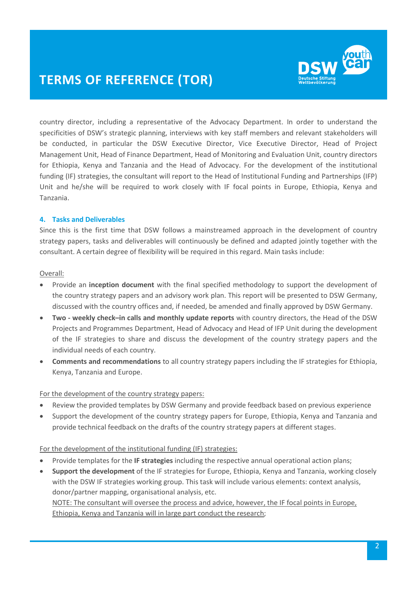

country director, including a representative of the Advocacy Department. In order to understand the specificities of DSW's strategic planning, interviews with key staff members and relevant stakeholders will be conducted, in particular the DSW Executive Director, Vice Executive Director, Head of Project Management Unit, Head of Finance Department, Head of Monitoring and Evaluation Unit, country directors for Ethiopia, Kenya and Tanzania and the Head of Advocacy. For the development of the institutional funding (IF) strategies, the consultant will report to the Head of Institutional Funding and Partnerships (IFP) Unit and he/she will be required to work closely with IF focal points in Europe, Ethiopia, Kenya and Tanzania.

## **4. Tasks and Deliverables**

Since this is the first time that DSW follows a mainstreamed approach in the development of country strategy papers, tasks and deliverables will continuously be defined and adapted jointly together with the consultant. A certain degree of flexibility will be required in this regard. Main tasks include:

## Overall:

- Provide an **inception document** with the final specified methodology to support the development of the country strategy papers and an advisory work plan. This report will be presented to DSW Germany, discussed with the country offices and, if needed, be amended and finally approved by DSW Germany.
- **Two - weekly check–in calls and monthly update reports** with country directors, the Head of the DSW Projects and Programmes Department, Head of Advocacy and Head of IFP Unit during the development of the IF strategies to share and discuss the development of the country strategy papers and the individual needs of each country.
- **Comments and recommendations** to all country strategy papers including the IF strategies for Ethiopia, Kenya, Tanzania and Europe.

## For the development of the country strategy papers:

- Review the provided templates by DSW Germany and provide feedback based on previous experience
- Support the development of the country strategy papers for Europe, Ethiopia, Kenya and Tanzania and provide technical feedback on the drafts of the country strategy papers at different stages.

## For the development of the institutional funding (IF) strategies:

- Provide templates for the **IF strategies** including the respective annual operational action plans;
- **Support the development** of the IF strategies for Europe, Ethiopia, Kenya and Tanzania, working closely with the DSW IF strategies working group. This task will include various elements: context analysis, donor/partner mapping, organisational analysis, etc.

NOTE: The consultant will oversee the process and advice, however, the IF focal points in Europe, Ethiopia, Kenya and Tanzania will in large part conduct the research;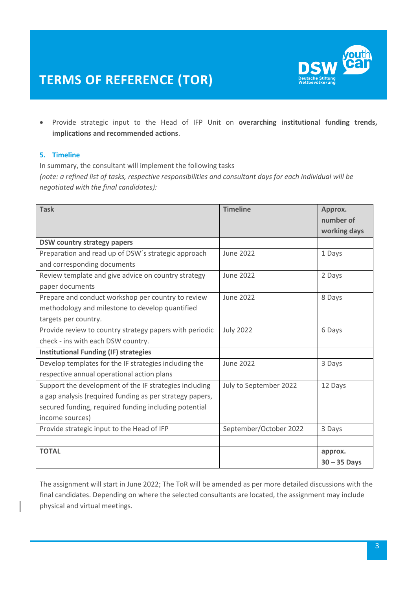

 Provide strategic input to the Head of IFP Unit on **overarching institutional funding trends, implications and recommended actions**.

## **5. Timeline**

In summary, the consultant will implement the following tasks *(note: a refined list of tasks, respective responsibilities and consultant days for each individual will be negotiated with the final candidates):*

| <b>Task</b>                                              | <b>Timeline</b>        | Approx.<br>number of<br>working days |
|----------------------------------------------------------|------------------------|--------------------------------------|
| <b>DSW country strategy papers</b>                       |                        |                                      |
| Preparation and read up of DSW's strategic approach      | <b>June 2022</b>       | 1 Days                               |
| and corresponding documents                              |                        |                                      |
| Review template and give advice on country strategy      | <b>June 2022</b>       | 2 Days                               |
| paper documents                                          |                        |                                      |
| Prepare and conduct workshop per country to review       | <b>June 2022</b>       | 8 Days                               |
| methodology and milestone to develop quantified          |                        |                                      |
| targets per country.                                     |                        |                                      |
| Provide review to country strategy papers with periodic  | <b>July 2022</b>       | 6 Days                               |
| check - ins with each DSW country.                       |                        |                                      |
| <b>Institutional Funding (IF) strategies</b>             |                        |                                      |
| Develop templates for the IF strategies including the    | <b>June 2022</b>       | 3 Days                               |
| respective annual operational action plans               |                        |                                      |
| Support the development of the IF strategies including   | July to September 2022 | 12 Days                              |
| a gap analysis (required funding as per strategy papers, |                        |                                      |
| secured funding, required funding including potential    |                        |                                      |
| income sources)                                          |                        |                                      |
| Provide strategic input to the Head of IFP               | September/October 2022 | 3 Days                               |
|                                                          |                        |                                      |
| <b>TOTAL</b>                                             |                        | approx.<br>$30 - 35$ Days            |

The assignment will start in June 2022; The ToR will be amended as per more detailed discussions with the final candidates. Depending on where the selected consultants are located, the assignment may include physical and virtual meetings.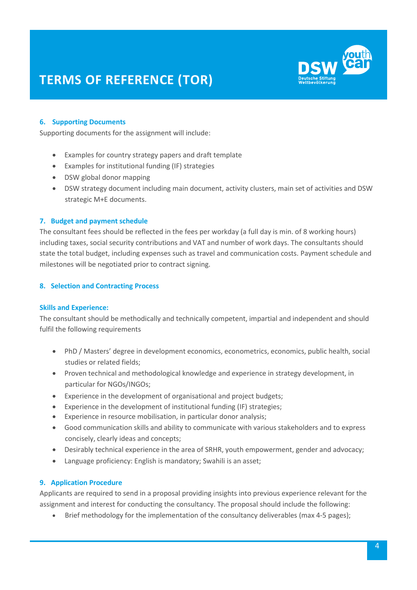

## **6. Supporting Documents**

Supporting documents for the assignment will include:

- Examples for country strategy papers and draft template
- Examples for institutional funding (IF) strategies
- DSW global donor mapping
- DSW strategy document including main document, activity clusters, main set of activities and DSW strategic M+E documents.

## **7. Budget and payment schedule**

The consultant fees should be reflected in the fees per workday (a full day is min. of 8 working hours) including taxes, social security contributions and VAT and number of work days. The consultants should state the total budget, including expenses such as travel and communication costs. Payment schedule and milestones will be negotiated prior to contract signing.

## **8. Selection and Contracting Process**

## **Skills and Experience:**

The consultant should be methodically and technically competent, impartial and independent and should fulfil the following requirements

- PhD / Masters' degree in development economics, econometrics, economics, public health, social studies or related fields;
- Proven technical and methodological knowledge and experience in strategy development, in particular for NGOs/INGOs;
- Experience in the development of organisational and project budgets;
- Experience in the development of institutional funding (IF) strategies;
- Experience in resource mobilisation, in particular donor analysis;
- Good communication skills and ability to communicate with various stakeholders and to express concisely, clearly ideas and concepts;
- Desirably technical experience in the area of SRHR, youth empowerment, gender and advocacy;
- Language proficiency: English is mandatory; Swahili is an asset;

## **9. Application Procedure**

Applicants are required to send in a proposal providing insights into previous experience relevant for the assignment and interest for conducting the consultancy. The proposal should include the following:

• Brief methodology for the implementation of the consultancy deliverables (max 4-5 pages);